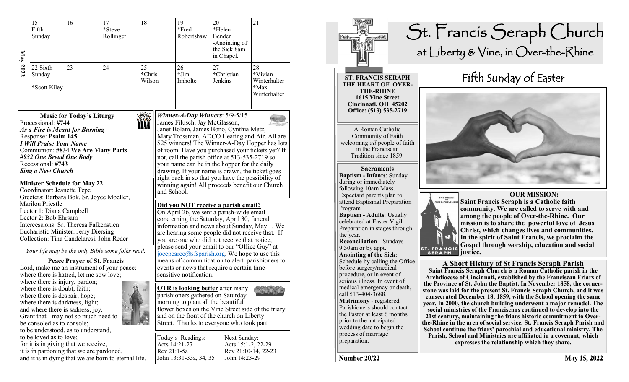| May 2022                                                                                                                                                                                                                                                                                                                                | 15<br>Fifth<br>Sunday                                                                                                                                                                                                                                  | 16<br>18<br>17<br>*Steve<br>Rollinger |                                                      |                                                                                                                                                                                                                                                                                                                                                                                                                                                                                                                   | 19<br>*Fred<br>Robertshaw                   | 20<br>*Helen<br>Bender<br>-Anointing of<br>the Sick 8am<br>in Chapel.                                                                                                                                                                                                                                                                                                                                                                                                                                                                        | 21                          |                                                          |  |
|-----------------------------------------------------------------------------------------------------------------------------------------------------------------------------------------------------------------------------------------------------------------------------------------------------------------------------------------|--------------------------------------------------------------------------------------------------------------------------------------------------------------------------------------------------------------------------------------------------------|---------------------------------------|------------------------------------------------------|-------------------------------------------------------------------------------------------------------------------------------------------------------------------------------------------------------------------------------------------------------------------------------------------------------------------------------------------------------------------------------------------------------------------------------------------------------------------------------------------------------------------|---------------------------------------------|----------------------------------------------------------------------------------------------------------------------------------------------------------------------------------------------------------------------------------------------------------------------------------------------------------------------------------------------------------------------------------------------------------------------------------------------------------------------------------------------------------------------------------------------|-----------------------------|----------------------------------------------------------|--|
|                                                                                                                                                                                                                                                                                                                                         | 22 Sixth<br>Sunday<br>*Scott Kiley                                                                                                                                                                                                                     | 23                                    | 24                                                   | 25<br>*Chris<br>Wilson                                                                                                                                                                                                                                                                                                                                                                                                                                                                                            |                                             | 26<br>$*Jim$<br>Imholte                                                                                                                                                                                                                                                                                                                                                                                                                                                                                                                      | 27<br>*Christian<br>Jenkins | 28<br>*Vivian<br>Winterhalter<br>$*$ Max<br>Winterhalter |  |
| <b>Music for Today's Liturgy</b><br>Processional: #744<br>As a Fire is Meant for Burning<br>Response: Psalm 145<br><b>I Will Praise Your Name</b><br>Communion: #834 We Are Many Parts<br>#932 One Bread One Body<br>Recessional: #743<br><b>Sing a New Church</b><br><b>Minister Schedule for May 22</b><br>Coordinator: Jeanette Tepe |                                                                                                                                                                                                                                                        |                                       |                                                      |                                                                                                                                                                                                                                                                                                                                                                                                                                                                                                                   |                                             | Winner-A-Day Winners: $5/9-5/15$<br>James Filusch, Jay McGlasson,<br>Janet Bolam, James Bono, Cynthia Metz,<br>Mary Trossman, ADCO Heating and Air. All are<br>\$25 winners! The Winner-A-Day Hopper has lots<br>of room. Have you purchased your tickets yet? If<br>not, call the parish office at 513-535-2719 so<br>your name can be in the hopper for the daily<br>drawing. If your name is drawn, the ticket goes<br>right back in so that you have the possibility of<br>winning again! All proceeds benefit our Church<br>and School. |                             |                                                          |  |
|                                                                                                                                                                                                                                                                                                                                         | Greeters: Barbara Bok, Sr. Joyce Moeller,<br>Marilou Priestle<br>Lector 1: Diana Campbell<br>Lector 2: Bob Ehrsam<br>Intercessions: Sr. Theresa Falkenstien<br><b>Eucharistic Minister: Jerry Diersing</b><br>Collection: Tina Candelaresi, John Reder |                                       | Your life may be the only Bible some folks read.     | Did you NOT receive a parish email?<br>On April 26, we sent a parish-wide email<br>conc erning the Saturday, April 30, funeral<br>information and news about Sunday, May 1. We<br>are hearing some people did not receive that. If<br>you are one who did not receive that notice,<br>please send your email to our "Office Guy" at<br>joeepearce@sfsparish.org. We hope to use this<br>means of communication to alert parishioners to<br>events or news that require a certain time-<br>sensitive notification. |                                             |                                                                                                                                                                                                                                                                                                                                                                                                                                                                                                                                              |                             |                                                          |  |
|                                                                                                                                                                                                                                                                                                                                         | where there is hatred, let me sow love;<br>where there is injury, pardon;                                                                                                                                                                              | <b>Peace Prayer of St. Francis</b>    | Lord, make me an instrument of your peace;           |                                                                                                                                                                                                                                                                                                                                                                                                                                                                                                                   |                                             |                                                                                                                                                                                                                                                                                                                                                                                                                                                                                                                                              |                             |                                                          |  |
|                                                                                                                                                                                                                                                                                                                                         | where there is doubt, faith;<br>where there is despair, hope;<br>where there is darkness, light;<br>and where there is sadness, joy.<br>Grant that I may not so much need to<br>be consoled as to console;<br>to be understood, as to understand,      |                                       |                                                      | <b>OTR</b> is looking better after many<br>parishioners gathered on Saturday<br>morning to plant all the beautiful<br>flower boxes on the Vine Street side of the friary<br>and on the front of the church on Liberty<br>Street. Thanks to everyone who took part.                                                                                                                                                                                                                                                |                                             |                                                                                                                                                                                                                                                                                                                                                                                                                                                                                                                                              |                             |                                                          |  |
|                                                                                                                                                                                                                                                                                                                                         | to be loved as to love;<br>for it is in giving that we receive,<br>it is in pardoning that we are pardoned,                                                                                                                                            |                                       | and it is in dying that we are born to eternal life. | Acts 14:21-27<br>Rev 21:1-5a                                                                                                                                                                                                                                                                                                                                                                                                                                                                                      | Today's Readings:<br>John 13:31-33a, 34, 35 | Next Sunday:<br>Acts 15:1-2, 22-29<br>Rev 21:10-14, 22-23<br>John 14:23-29                                                                                                                                                                                                                                                                                                                                                                                                                                                                   |                             |                                                          |  |